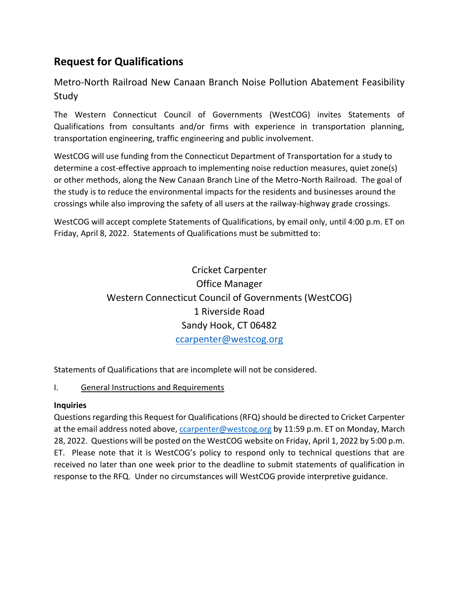# **Request for Qualifications**

Metro-North Railroad New Canaan Branch Noise Pollution Abatement Feasibility Study

The Western Connecticut Council of Governments (WestCOG) invites Statements of Qualifications from consultants and/or firms with experience in transportation planning, transportation engineering, traffic engineering and public involvement.

WestCOG will use funding from the Connecticut Department of Transportation for a study to determine a cost-effective approach to implementing noise reduction measures, quiet zone(s) or other methods, along the New Canaan Branch Line of the Metro-North Railroad. The goal of the study is to reduce the environmental impacts for the residents and businesses around the crossings while also improving the safety of all users at the railway-highway grade crossings.

WestCOG will accept complete Statements of Qualifications, by email only, until 4:00 p.m. ET on Friday, April 8, 2022. Statements of Qualifications must be submitted to:

# Cricket Carpenter Office Manager Western Connecticut Council of Governments (WestCOG) 1 Riverside Road Sandy Hook, CT 06482 [ccarpenter@westcog.org](mailto:ccarpenter@westcog.org)

Statements of Qualifications that are incomplete will not be considered.

### I. General Instructions and Requirements

### **Inquiries**

Questions regarding this Request for Qualifications (RFQ) should be directed to Cricket Carpenter at the email address noted above, [ccarpenter@westcog.org](mailto:ccarpenter@westcog.org) by 11:59 p.m. ET on Monday, March 28, 2022. Questions will be posted on the WestCOG website on Friday, April 1, 2022 by 5:00 p.m. ET. Please note that it is WestCOG's policy to respond only to technical questions that are received no later than one week prior to the deadline to submit statements of qualification in response to the RFQ. Under no circumstances will WestCOG provide interpretive guidance.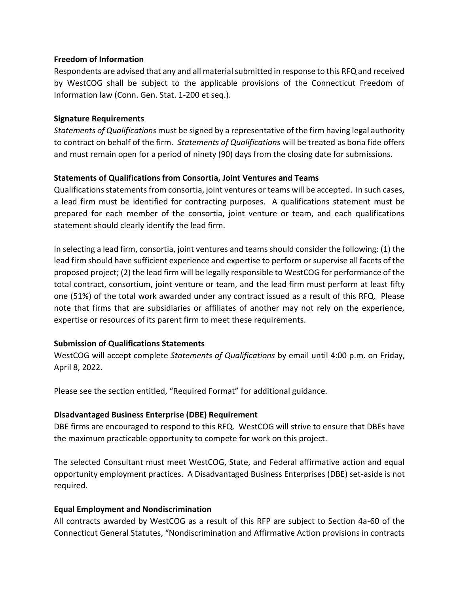#### **Freedom of Information**

Respondents are advised that any and all material submitted in response to this RFQ and received by WestCOG shall be subject to the applicable provisions of the Connecticut Freedom of Information law (Conn. Gen. Stat. 1-200 et seq.).

#### **Signature Requirements**

*Statements of Qualifications* must be signed by a representative of the firm having legal authority to contract on behalf of the firm. *Statements of Qualifications* will be treated as bona fide offers and must remain open for a period of ninety (90) days from the closing date for submissions.

#### **Statements of Qualifications from Consortia, Joint Ventures and Teams**

Qualifications statements from consortia, joint ventures or teams will be accepted. In such cases, a lead firm must be identified for contracting purposes. A qualifications statement must be prepared for each member of the consortia, joint venture or team, and each qualifications statement should clearly identify the lead firm.

In selecting a lead firm, consortia, joint ventures and teams should consider the following: (1) the lead firm should have sufficient experience and expertise to perform or supervise all facets of the proposed project; (2) the lead firm will be legally responsible to WestCOG for performance of the total contract, consortium, joint venture or team, and the lead firm must perform at least fifty one (51%) of the total work awarded under any contract issued as a result of this RFQ. Please note that firms that are subsidiaries or affiliates of another may not rely on the experience, expertise or resources of its parent firm to meet these requirements.

#### **Submission of Qualifications Statements**

WestCOG will accept complete *Statements of Qualifications* by email until 4:00 p.m. on Friday, April 8, 2022.

Please see the section entitled, "Required Format" for additional guidance.

#### **Disadvantaged Business Enterprise (DBE) Requirement**

DBE firms are encouraged to respond to this RFQ. WestCOG will strive to ensure that DBEs have the maximum practicable opportunity to compete for work on this project.

The selected Consultant must meet WestCOG, State, and Federal affirmative action and equal opportunity employment practices. A Disadvantaged Business Enterprises (DBE) set-aside is not required.

#### **Equal Employment and Nondiscrimination**

All contracts awarded by WestCOG as a result of this RFP are subject to Section 4a-60 of the Connecticut General Statutes, "Nondiscrimination and Affirmative Action provisions in contracts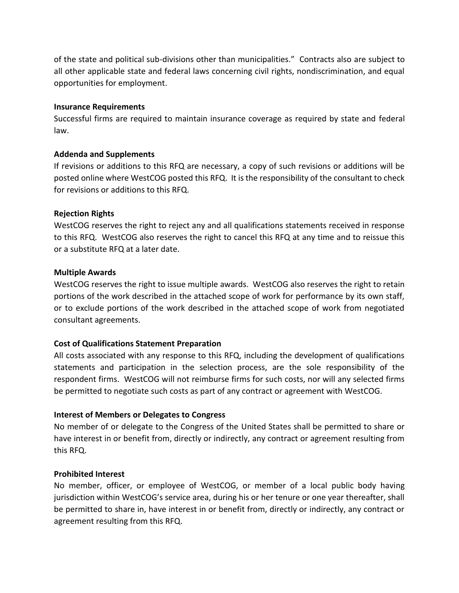of the state and political sub-divisions other than municipalities." Contracts also are subject to all other applicable state and federal laws concerning civil rights, nondiscrimination, and equal opportunities for employment.

#### **Insurance Requirements**

Successful firms are required to maintain insurance coverage as required by state and federal law.

#### **Addenda and Supplements**

If revisions or additions to this RFQ are necessary, a copy of such revisions or additions will be posted online where WestCOG posted this RFQ. It is the responsibility of the consultant to check for revisions or additions to this RFQ.

#### **Rejection Rights**

WestCOG reserves the right to reject any and all qualifications statements received in response to this RFQ. WestCOG also reserves the right to cancel this RFQ at any time and to reissue this or a substitute RFQ at a later date.

#### **Multiple Awards**

WestCOG reserves the right to issue multiple awards. WestCOG also reserves the right to retain portions of the work described in the attached scope of work for performance by its own staff, or to exclude portions of the work described in the attached scope of work from negotiated consultant agreements.

#### **Cost of Qualifications Statement Preparation**

All costs associated with any response to this RFQ, including the development of qualifications statements and participation in the selection process, are the sole responsibility of the respondent firms. WestCOG will not reimburse firms for such costs, nor will any selected firms be permitted to negotiate such costs as part of any contract or agreement with WestCOG.

#### **Interest of Members or Delegates to Congress**

No member of or delegate to the Congress of the United States shall be permitted to share or have interest in or benefit from, directly or indirectly, any contract or agreement resulting from this RFQ.

#### **Prohibited Interest**

No member, officer, or employee of WestCOG, or member of a local public body having jurisdiction within WestCOG's service area, during his or her tenure or one year thereafter, shall be permitted to share in, have interest in or benefit from, directly or indirectly, any contract or agreement resulting from this RFQ.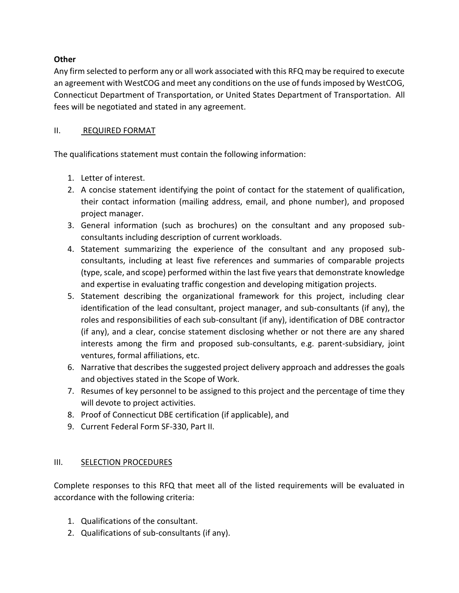### **Other**

Any firm selected to perform any or all work associated with this RFQ may be required to execute an agreement with WestCOG and meet any conditions on the use of funds imposed by WestCOG, Connecticut Department of Transportation, or United States Department of Transportation. All fees will be negotiated and stated in any agreement.

### II. REQUIRED FORMAT

The qualifications statement must contain the following information:

- 1. Letter of interest.
- 2. A concise statement identifying the point of contact for the statement of qualification, their contact information (mailing address, email, and phone number), and proposed project manager.
- 3. General information (such as brochures) on the consultant and any proposed subconsultants including description of current workloads.
- 4. Statement summarizing the experience of the consultant and any proposed subconsultants, including at least five references and summaries of comparable projects (type, scale, and scope) performed within the last five years that demonstrate knowledge and expertise in evaluating traffic congestion and developing mitigation projects.
- 5. Statement describing the organizational framework for this project, including clear identification of the lead consultant, project manager, and sub-consultants (if any), the roles and responsibilities of each sub-consultant (if any), identification of DBE contractor (if any), and a clear, concise statement disclosing whether or not there are any shared interests among the firm and proposed sub-consultants, e.g. parent-subsidiary, joint ventures, formal affiliations, etc.
- 6. Narrative that describes the suggested project delivery approach and addresses the goals and objectives stated in the Scope of Work.
- 7. Resumes of key personnel to be assigned to this project and the percentage of time they will devote to project activities.
- 8. Proof of Connecticut DBE certification (if applicable), and
- 9. Current Federal Form SF-330, Part II.

### III. SELECTION PROCEDURES

Complete responses to this RFQ that meet all of the listed requirements will be evaluated in accordance with the following criteria:

- 1. Qualifications of the consultant.
- 2. Qualifications of sub-consultants (if any).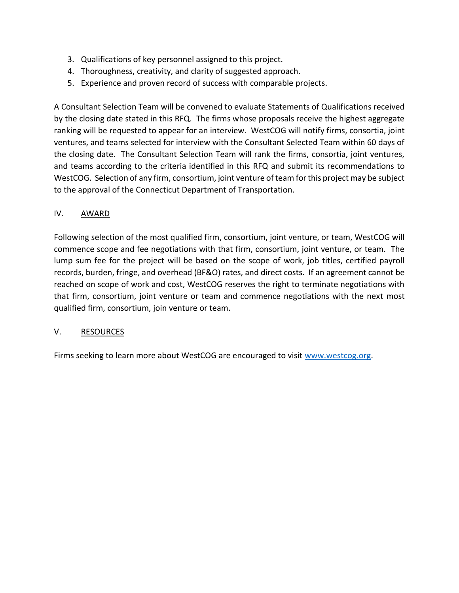- 3. Qualifications of key personnel assigned to this project.
- 4. Thoroughness, creativity, and clarity of suggested approach.
- 5. Experience and proven record of success with comparable projects.

A Consultant Selection Team will be convened to evaluate Statements of Qualifications received by the closing date stated in this RFQ. The firms whose proposals receive the highest aggregate ranking will be requested to appear for an interview. WestCOG will notify firms, consortia, joint ventures, and teams selected for interview with the Consultant Selected Team within 60 days of the closing date. The Consultant Selection Team will rank the firms, consortia, joint ventures, and teams according to the criteria identified in this RFQ and submit its recommendations to WestCOG. Selection of any firm, consortium, joint venture of team for this project may be subject to the approval of the Connecticut Department of Transportation.

### IV. AWARD

Following selection of the most qualified firm, consortium, joint venture, or team, WestCOG will commence scope and fee negotiations with that firm, consortium, joint venture, or team. The lump sum fee for the project will be based on the scope of work, job titles, certified payroll records, burden, fringe, and overhead (BF&O) rates, and direct costs. If an agreement cannot be reached on scope of work and cost, WestCOG reserves the right to terminate negotiations with that firm, consortium, joint venture or team and commence negotiations with the next most qualified firm, consortium, join venture or team.

### V. RESOURCES

Firms seeking to learn more about WestCOG are encouraged to visit [www.westcog.org.](http://www.westcog.org/)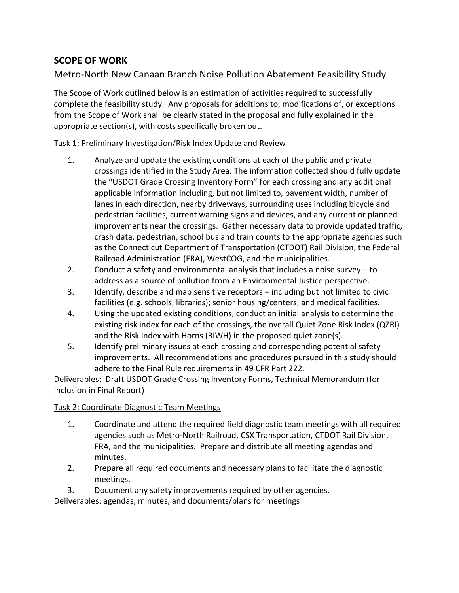## **SCOPE OF WORK**

## Metro-North New Canaan Branch Noise Pollution Abatement Feasibility Study

The Scope of Work outlined below is an estimation of activities required to successfully complete the feasibility study. Any proposals for additions to, modifications of, or exceptions from the Scope of Work shall be clearly stated in the proposal and fully explained in the appropriate section(s), with costs specifically broken out.

### Task 1: Preliminary Investigation/Risk Index Update and Review

- 1. Analyze and update the existing conditions at each of the public and private crossings identified in the Study Area. The information collected should fully update the "USDOT Grade Crossing Inventory Form" for each crossing and any additional applicable information including, but not limited to, pavement width, number of lanes in each direction, nearby driveways, surrounding uses including bicycle and pedestrian facilities, current warning signs and devices, and any current or planned improvements near the crossings. Gather necessary data to provide updated traffic, crash data, pedestrian, school bus and train counts to the appropriate agencies such as the Connecticut Department of Transportation (CTDOT) Rail Division, the Federal Railroad Administration (FRA), WestCOG, and the municipalities.
- 2. Conduct a safety and environmental analysis that includes a noise survey to address as a source of pollution from an Environmental Justice perspective.
- 3. Identify, describe and map sensitive receptors including but not limited to civic facilities (e.g. schools, libraries); senior housing/centers; and medical facilities.
- 4. Using the updated existing conditions, conduct an initial analysis to determine the existing risk index for each of the crossings, the overall Quiet Zone Risk Index (QZRI) and the Risk Index with Horns (RIWH) in the proposed quiet zone(s).
- 5. Identify preliminary issues at each crossing and corresponding potential safety improvements. All recommendations and procedures pursued in this study should adhere to the Final Rule requirements in 49 CFR Part 222.

Deliverables: Draft USDOT Grade Crossing Inventory Forms, Technical Memorandum (for inclusion in Final Report)

### Task 2: Coordinate Diagnostic Team Meetings

- 1. Coordinate and attend the required field diagnostic team meetings with all required agencies such as Metro-North Railroad, CSX Transportation, CTDOT Rail Division, FRA, and the municipalities. Prepare and distribute all meeting agendas and minutes.
- 2. Prepare all required documents and necessary plans to facilitate the diagnostic meetings.
- 3. Document any safety improvements required by other agencies.

Deliverables: agendas, minutes, and documents/plans for meetings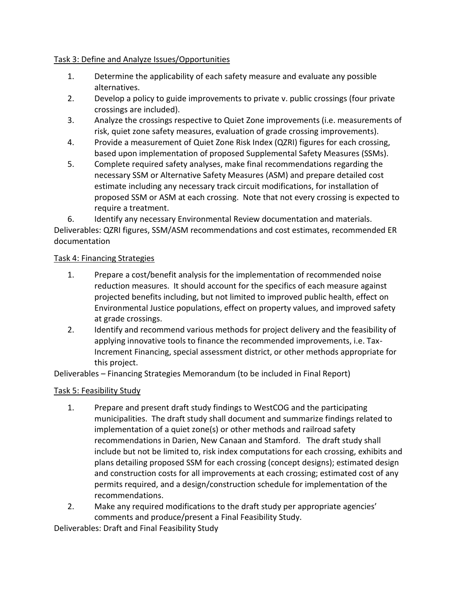### Task 3: Define and Analyze Issues/Opportunities

- 1. Determine the applicability of each safety measure and evaluate any possible alternatives.
- 2. Develop a policy to guide improvements to private v. public crossings (four private crossings are included).
- 3. Analyze the crossings respective to Quiet Zone improvements (i.e. measurements of risk, quiet zone safety measures, evaluation of grade crossing improvements).
- 4. Provide a measurement of Quiet Zone Risk Index (QZRI) figures for each crossing, based upon implementation of proposed Supplemental Safety Measures (SSMs).
- 5. Complete required safety analyses, make final recommendations regarding the necessary SSM or Alternative Safety Measures (ASM) and prepare detailed cost estimate including any necessary track circuit modifications, for installation of proposed SSM or ASM at each crossing. Note that not every crossing is expected to require a treatment.
- 6. Identify any necessary Environmental Review documentation and materials.

Deliverables: QZRI figures, SSM/ASM recommendations and cost estimates, recommended ER documentation

### Task 4: Financing Strategies

- 1. Prepare a cost/benefit analysis for the implementation of recommended noise reduction measures. It should account for the specifics of each measure against projected benefits including, but not limited to improved public health, effect on Environmental Justice populations, effect on property values, and improved safety at grade crossings.
- 2. Identify and recommend various methods for project delivery and the feasibility of applying innovative tools to finance the recommended improvements, i.e. Tax-Increment Financing, special assessment district, or other methods appropriate for this project.

Deliverables – Financing Strategies Memorandum (to be included in Final Report)

### Task 5: Feasibility Study

- 1. Prepare and present draft study findings to WestCOG and the participating municipalities. The draft study shall document and summarize findings related to implementation of a quiet zone(s) or other methods and railroad safety recommendations in Darien, New Canaan and Stamford. The draft study shall include but not be limited to, risk index computations for each crossing, exhibits and plans detailing proposed SSM for each crossing (concept designs); estimated design and construction costs for all improvements at each crossing; estimated cost of any permits required, and a design/construction schedule for implementation of the recommendations.
- 2. Make any required modifications to the draft study per appropriate agencies' comments and produce/present a Final Feasibility Study.

Deliverables: Draft and Final Feasibility Study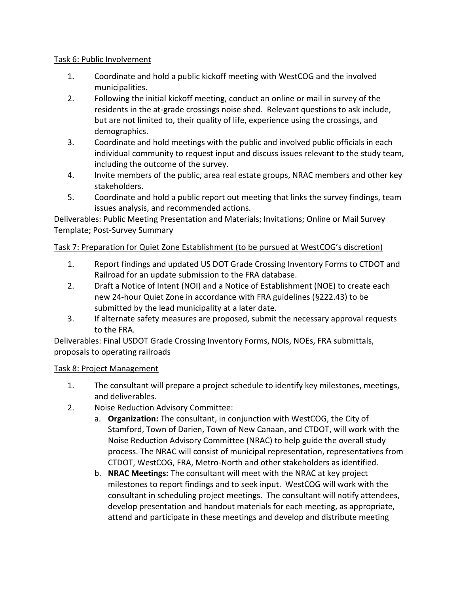### Task 6: Public Involvement

- 1. Coordinate and hold a public kickoff meeting with WestCOG and the involved municipalities.
- 2. Following the initial kickoff meeting, conduct an online or mail in survey of the residents in the at-grade crossings noise shed. Relevant questions to ask include, but are not limited to, their quality of life, experience using the crossings, and demographics.
- 3. Coordinate and hold meetings with the public and involved public officials in each individual community to request input and discuss issues relevant to the study team, including the outcome of the survey.
- 4. Invite members of the public, area real estate groups, NRAC members and other key stakeholders.
- 5. Coordinate and hold a public report out meeting that links the survey findings, team issues analysis, and recommended actions.

Deliverables: Public Meeting Presentation and Materials; Invitations; Online or Mail Survey Template; Post-Survey Summary

### Task 7: Preparation for Quiet Zone Establishment (to be pursued at WestCOG's discretion)

- 1. Report findings and updated US DOT Grade Crossing Inventory Forms to CTDOT and Railroad for an update submission to the FRA database.
- 2. Draft a Notice of Intent (NOI) and a Notice of Establishment (NOE) to create each new 24-hour Quiet Zone in accordance with FRA guidelines (§222.43) to be submitted by the lead municipality at a later date.
- 3. If alternate safety measures are proposed, submit the necessary approval requests to the FRA.

Deliverables: Final USDOT Grade Crossing Inventory Forms, NOIs, NOEs, FRA submittals, proposals to operating railroads

### Task 8: Project Management

- 1. The consultant will prepare a project schedule to identify key milestones, meetings, and deliverables.
- 2. Noise Reduction Advisory Committee:
	- a. **Organization:** The consultant, in conjunction with WestCOG, the City of Stamford, Town of Darien, Town of New Canaan, and CTDOT, will work with the Noise Reduction Advisory Committee (NRAC) to help guide the overall study process. The NRAC will consist of municipal representation, representatives from CTDOT, WestCOG, FRA, Metro-North and other stakeholders as identified.
	- b. **NRAC Meetings:** The consultant will meet with the NRAC at key project milestones to report findings and to seek input. WestCOG will work with the consultant in scheduling project meetings. The consultant will notify attendees, develop presentation and handout materials for each meeting, as appropriate, attend and participate in these meetings and develop and distribute meeting